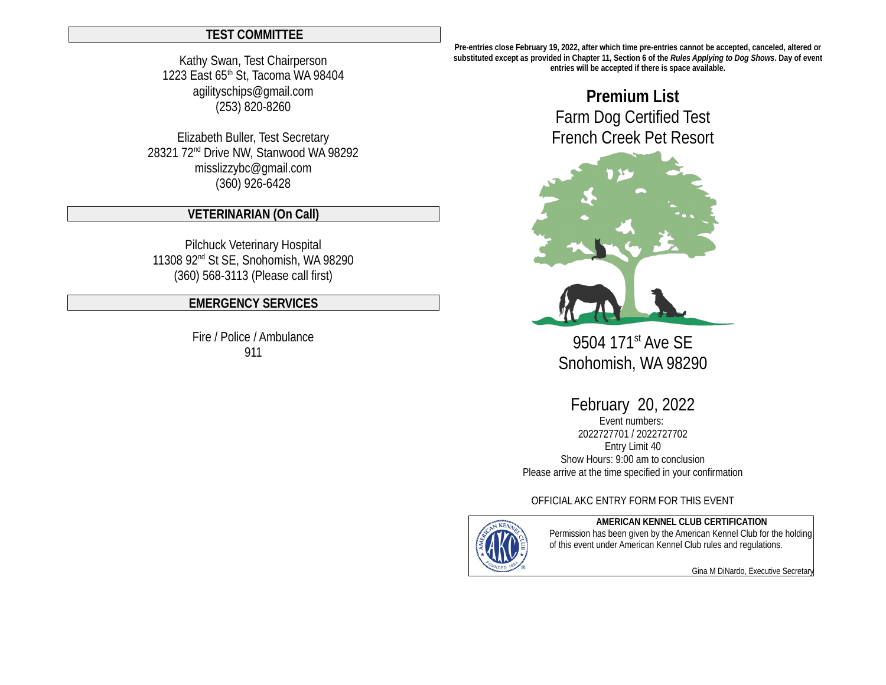### **TEST COMMITTEE**

Kathy Swan, Test Chairperson 1223 East 65<sup>th</sup> St, Tacoma WA 98404 agilityschips@gmail.com (253) 820-8260

Elizabeth Buller, Test Secretary 28321 72nd Drive NW, Stanwood WA 98292 misslizzybc@gmail.com (360) 926-6428

### **VETERINARIAN (On Call)**

Pilchuck Veterinary Hospital 11308 92nd St SE, Snohomish, WA 98290 (360) 568-3113 (Please call first)

## **EMERGENCY SERVICES**

Fire / Police / Ambulance 911

**Pre-entries close February 19, 2022, after which time pre-entries cannot be accepted, canceled, altered or substituted except as provided in Chapter 11, Section 6 of the** *Rules Applying to Dog Shows***. Day of event entries will be accepted if there is space available.** 

# **Premium List** Farm Dog Certified Test French Creek Pet Resort



9504 171<sup>st</sup> Ave SE Snohomish, WA 98290

February 20, 2022

Event numbers: 2022727701 / 2022727702 Entry Limit 40 Show Hours: 9:00 am to conclusion Please arrive at the time specified in your confirmation

OFFICIAL AKC ENTRY FORM FOR THIS EVENT



**AMERICAN KENNEL CLUB CERTIFICATION**

Permission has been given by the American Kennel Club for the holding of this event under American Kennel Club rules and regulations.

Gina M DiNardo, Executive Secretary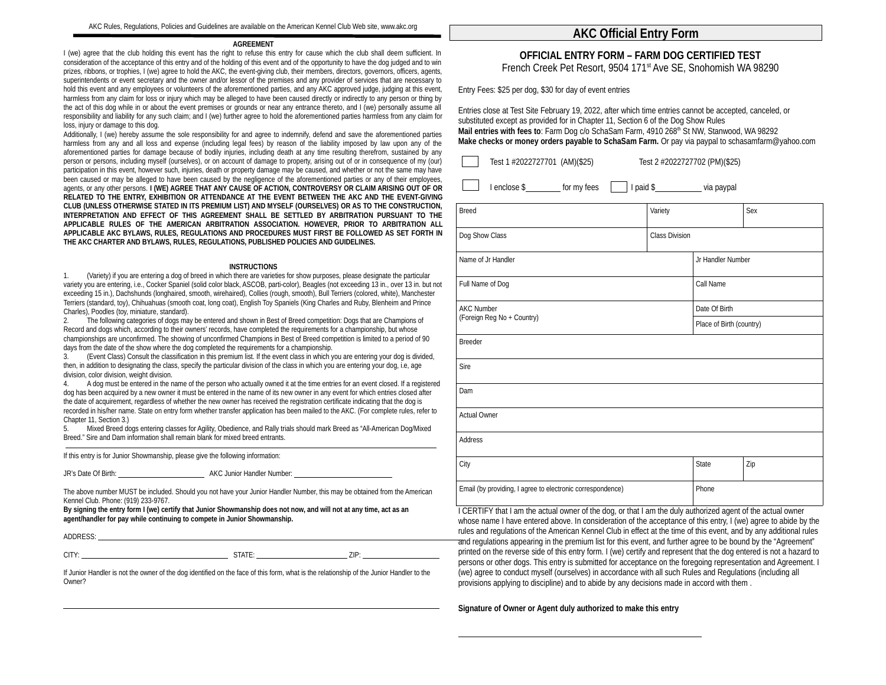### **AGREEMENT**

I (we) agree that the club holding this event has the right to refuse this entry for cause which the club shall deem sufficient. In consideration of the acceptance of this entry and of the holding of this event and of the opportunity to have the dog judged and to win prizes, ribbons, or trophies, I (we) agree to hold the AKC, the event-giving club, their members, directors, governors, officers, agents, superintendents or event secretary and the owner and/or lessor of the premises and any provider of services that are necessary to hold this event and any employees or volunteers of the aforementioned parties, and any AKC approved judge, judging at this event, harmless from any claim for loss or injury which may be alleged to have been caused directly or indirectly to any person or thing by the act of this dog while in or about the event premises or grounds or near any entrance thereto, and I (we) personally assume all responsibility and liability for any such claim; and I (we) further agree to hold the aforementioned parties harmless from any claim for loss, injury or damage to this dog.

Additionally, I (we) hereby assume the sole responsibility for and agree to indemnify, defend and save the aforementioned parties harmless from any and all loss and expense (including legal fees) by reason of the liability imposed by law upon any of the aforementioned parties for damage because of bodily injuries, including death at any time resulting therefrom, sustained by any person or persons, including myself (ourselves), or on account of damage to property, arising out of or in consequence of my (our) participation in this event, however such, injuries, death or property damage may be caused, and whether or not the same may have been caused or may be alleged to have been caused by the negligence of the aforementioned parties or any of their employees, agents, or any other persons. **I (WE) AGREE THAT ANY CAUSE OF ACTION, CONTROVERSY OR CLAIM ARISING OUT OF OR RELATED TO THE ENTRY, EXHIBITION OR ATTENDANCE AT THE EVENT BETWEEN THE AKC AND THE EVENT-GIVING CLUB (UNLESS OTHERWISE STATED IN ITS PREMIUM LIST) AND MYSELF (OURSELVES) OR AS TO THE CONSTRUCTION, INTERPRETATION AND EFFECT OF THIS AGREEMENT SHALL BE SETTLED BY ARBITRATION PURSUANT TO THE APPLICABLE RULES OF THE AMERICAN ARBITRATION ASSOCIATION. HOWEVER, PRIOR TO ARBITRATION ALL APPLICABLE AKC BYLAWS, RULES, REGULATIONS AND PROCEDURES MUST FIRST BE FOLLOWED AS SET FORTH IN THE AKC CHARTER AND BYLAWS, RULES, REGULATIONS, PUBLISHED POLICIES AND GUIDELINES.**

### **INSTRUCTIONS**

1. (Variety) if you are entering a dog of breed in which there are varieties for show purposes, please designate the particular variety you are entering, i.e., Cocker Spaniel (solid color black, ASCOB, parti-color), Beagles (not exceeding 13 in., over 13 in. but not exceeding 15 in.), Dachshunds (longhaired, smooth, wirehaired), Collies (rough, smooth), Bull Terriers (colored, white), Manchester Terriers (standard, toy), Chihuahuas (smooth coat, long coat), English Toy Spaniels (King Charles and Ruby, Blenheim and Prince Charles), Poodles (toy, miniature, standard).

2. The following categories of dogs may be entered and shown in Best of Breed competition: Dogs that are Champions of Record and dogs which, according to their owners' records, have completed the requirements for a championship, but whose championships are unconfirmed. The showing of unconfirmed Champions in Best of Breed competition is limited to a period of 90 days from the date of the show where the dog completed the requirements for a championship.

3. (Event Class) Consult the classification in this premium list. If the event class in which you are entering your dog is divided, then, in addition to designating the class, specify the particular division of the class in which you are entering your dog, i.e, age division, color division, weight division.

4. A dog must be entered in the name of the person who actually owned it at the time entries for an event closed. If a registered dog has been acquired by a new owner it must be entered in the name of its new owner in any event for which entries closed after the date of acquirement, regardless of whether the new owner has received the registration certificate indicating that the dog is recorded in his/her name. State on entry form whether transfer application has been mailed to the AKC. (For complete rules, refer to Chapter 11, Section 3.)

5. Mixed Breed dogs entering classes for Agility, Obedience, and Rally trials should mark Breed as "All-American Dog/Mixed Breed." Sire and Dam information shall remain blank for mixed breed entrants.

If this entry is for Junior Showmanship, please give the following information:

JR's Date Of Birth: **AKC Junior Handler Number:** AKC Junior Handler Number:

The above number MUST be included. Should you not have your Junior Handler Number, this may be obtained from the American Kennel Club. Phone: (919) 233-9767.

**By signing the entry form I (we) certify that Junior Showmanship does not now, and will not at any time, act as an agent/handler for pay while continuing to compete in Junior Showmanship.**

ADDRESS:

CITY: STATE: ZIP:

L

If Junior Handler is not the owner of the dog identified on the face of this form, what is the relationship of the Junior Handler to the Owner?

### **AKC Official Entry Form**

# **OFFICIAL ENTRY FORM – FARM DOG CERTIFIED TEST**

French Creek Pet Resort, 9504 171<sup>st</sup> Ave SE, Snohomish WA 98290

Entry Fees: \$25 per dog, \$30 for day of event entries

Entries close at Test Site February 19, 2022, after which time entries cannot be accepted, canceled, or substituted except as provided for in Chapter 11, Section 6 of the Dog Show Rules Mail entries with fees to: Farm Dog c/o SchaSam Farm, 4910 268<sup>th</sup> St NW, Stanwood, WA 98292 **Make checks or money orders payable to SchaSam Farm.** Or pay via paypal to schasamfarm@yahoo.com

| Test 1 #2022727701 (AM)(\$25)<br>Test 2 #2022727702 (PM)(\$25)                                              |                       |                          |     |
|-------------------------------------------------------------------------------------------------------------|-----------------------|--------------------------|-----|
| I paid \$_____________ via paypal<br>I enclose \$___________ for my fees                                    |                       |                          |     |
| <b>Breed</b>                                                                                                | Variety<br>Sex        |                          |     |
| Dog Show Class                                                                                              | <b>Class Division</b> |                          |     |
| Name of Jr Handler                                                                                          |                       | Jr Handler Number        |     |
| Full Name of Dog                                                                                            |                       | Call Name                |     |
| <b>AKC Number</b><br>(Foreign Reg No + Country)                                                             |                       | Date Of Birth            |     |
|                                                                                                             |                       | Place of Birth (country) |     |
| <b>Breeder</b>                                                                                              |                       |                          |     |
| Sire                                                                                                        |                       |                          |     |
| Dam                                                                                                         |                       |                          |     |
| <b>Actual Owner</b>                                                                                         |                       |                          |     |
| Address                                                                                                     |                       |                          |     |
| City                                                                                                        |                       | <b>State</b>             | Zip |
| Email (by providing, I agree to electronic correspondence)                                                  |                       | Phone                    |     |
| I CERTIFY that I am the actual owner of the dog, or that I am the duly authorized agent of the actual owner |                       |                          |     |

I CERTIFY that I am the actual owner of the dog, or that I am the duly authorized agent of the actual owner whose name I have entered above. In consideration of the acceptance of this entry, I (we) agree to abide by the rules and regulations of the American Kennel Club in effect at the time of this event, and by any additional rules and regulations appearing in the premium list for this event, and further agree to be bound by the "Agreement" printed on the reverse side of this entry form. I (we) certify and represent that the dog entered is not a hazard to persons or other dogs. This entry is submitted for acceptance on the foregoing representation and Agreement. I (we) agree to conduct myself (ourselves) in accordance with all such Rules and Regulations (including all provisions applying to discipline) and to abide by any decisions made in accord with them .

**Signature of Owner or Agent duly authorized to make this entry**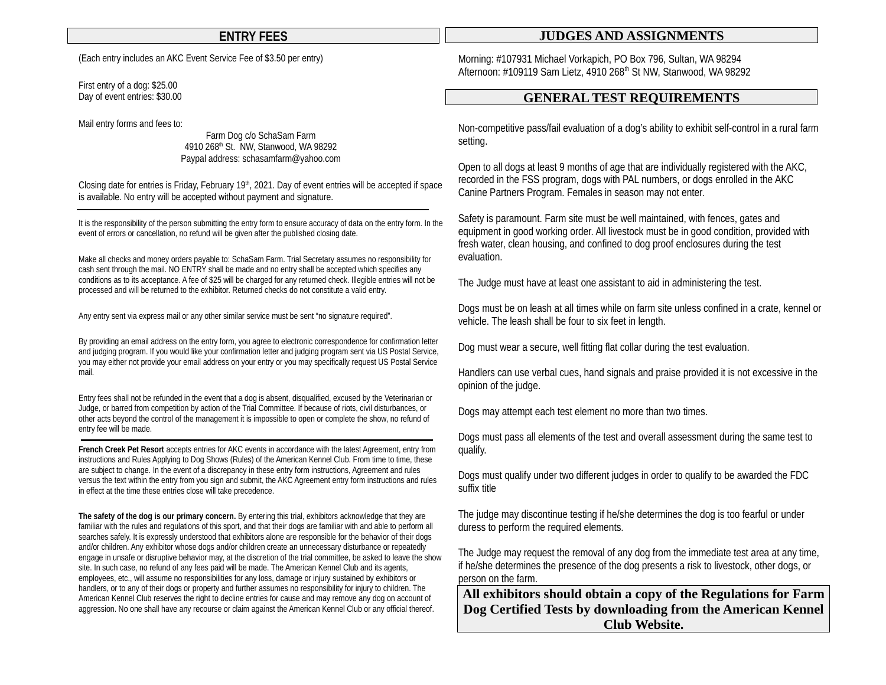(Each entry includes an AKC Event Service Fee of \$3.50 per entry)

First entry of a dog: \$25.00 Day of event entries: \$30.00

Mail entry forms and fees to:

Farm Dog c/o SchaSam Farm 4910 268<sup>th</sup> St. NW, Stanwood, WA 98292 Paypal address: schasamfarm@yahoo.com

Closing date for entries is Friday, February  $19<sup>th</sup>$ , 2021. Day of event entries will be accepted if space is available. No entry will be accepted without payment and signature.

It is the responsibility of the person submitting the entry form to ensure accuracy of data on the entry form. In the event of errors or cancellation, no refund will be given after the published closing date.

Make all checks and money orders payable to: SchaSam Farm. Trial Secretary assumes no responsibility for cash sent through the mail. NO ENTRY shall be made and no entry shall be accepted which specifies any conditions as to its acceptance. A fee of \$25 will be charged for any returned check. Illegible entries will not be processed and will be returned to the exhibitor. Returned checks do not constitute a valid entry.

Any entry sent via express mail or any other similar service must be sent "no signature required".

By providing an email address on the entry form, you agree to electronic correspondence for confirmation letter and judging program. If you would like your confirmation letter and judging program sent via US Postal Service, you may either not provide your email address on your entry or you may specifically request US Postal Service mail.

Entry fees shall not be refunded in the event that a dog is absent, disqualified, excused by the Veterinarian or Judge, or barred from competition by action of the Trial Committee. If because of riots, civil disturbances, or other acts beyond the control of the management it is impossible to open or complete the show, no refund of entry fee will be made.

**French Creek Pet Resort** accepts entries for AKC events in accordance with the latest Agreement, entry from instructions and Rules Applying to Dog Shows (Rules) of the American Kennel Club. From time to time, these are subject to change. In the event of a discrepancy in these entry form instructions, Agreement and rules versus the text within the entry from you sign and submit, the AKC Agreement entry form instructions and rules in effect at the time these entries close will take precedence.

**The safety of the dog is our primary concern.** By entering this trial, exhibitors acknowledge that they are familiar with the rules and regulations of this sport, and that their dogs are familiar with and able to perform all searches safely. It is expressly understood that exhibitors alone are responsible for the behavior of their dogs and/or children. Any exhibitor whose dogs and/or children create an unnecessary disturbance or repeatedly engage in unsafe or disruptive behavior may, at the discretion of the trial committee, be asked to leave the show site. In such case, no refund of any fees paid will be made. The American Kennel Club and its agents, employees, etc., will assume no responsibilities for any loss, damage or injury sustained by exhibitors or handlers, or to any of their dogs or property and further assumes no responsibility for injury to children. The American Kennel Club reserves the right to decline entries for cause and may remove any dog on account of aggression. No one shall have any recourse or claim against the American Kennel Club or any official thereof.

### **ENTRY FEES JUDGES AND ASSIGNMENTS**

Morning: #107931 Michael Vorkapich, PO Box 796, Sultan, WA 98294 Afternoon: #109119 Sam Lietz, 4910 268<sup>th</sup> St NW, Stanwood, WA 98292

## **GENERAL TEST REQUIREMENTS**

Non-competitive pass/fail evaluation of a dog's ability to exhibit self-control in a rural farm setting.

Open to all dogs at least 9 months of age that are individually registered with the AKC, recorded in the FSS program, dogs with PAL numbers, or dogs enrolled in the AKC Canine Partners Program. Females in season may not enter.

Safety is paramount. Farm site must be well maintained, with fences, gates and equipment in good working order. All livestock must be in good condition, provided with fresh water, clean housing, and confined to dog proof enclosures during the test evaluation.

The Judge must have at least one assistant to aid in administering the test.

Dogs must be on leash at all times while on farm site unless confined in a crate, kennel or vehicle. The leash shall be four to six feet in length.

Dog must wear a secure, well fitting flat collar during the test evaluation.

Handlers can use verbal cues, hand signals and praise provided it is not excessive in the opinion of the judge.

Dogs may attempt each test element no more than two times.

Dogs must pass all elements of the test and overall assessment during the same test to qualify.

Dogs must qualify under two different judges in order to qualify to be awarded the FDC suffix title

The judge may discontinue testing if he/she determines the dog is too fearful or under duress to perform the required elements.

The Judge may request the removal of any dog from the immediate test area at any time, if he/she determines the presence of the dog presents a risk to livestock, other dogs, or person on the farm.

**All exhibitors should obtain a copy of the Regulations for Farm Dog Certified Tests by downloading from the American Kennel Club Website.**